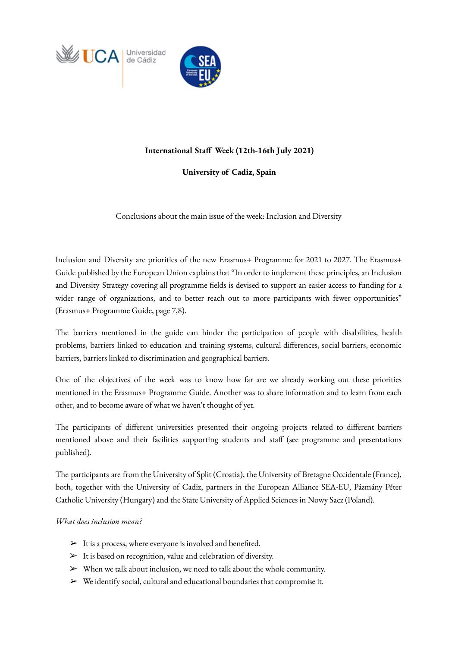



## **International Staff Week (12th-16th July 2021)**

## **University of Cadiz, Spain**

Conclusions about the main issue of the week: Inclusion and Diversity

Inclusion and Diversity are priorities of the new Erasmus+ Programme for 2021 to 2027. The Erasmus+ Guide published by the European Union explains that "In order to implement these principles, an Inclusion and Diversity Strategy covering all programme fields is devised to support an easier access to funding for a wider range of organizations, and to better reach out to more participants with fewer opportunities" (Erasmus+ Programme Guide, page 7,8).

The barriers mentioned in the guide can hinder the participation of people with disabilities, health problems, barriers linked to education and training systems, cultural differences, social barriers, economic barriers, barriers linked to discrimination and geographical barriers.

One of the objectives of the week was to know how far are we already working out these priorities mentioned in the Erasmus+ Programme Guide. Another was to share information and to learn from each other, and to become aware of what we haven't thought of yet.

The participants of different universities presented their ongoing projects related to different barriers mentioned above and their facilities supporting students and staff (see programme and presentations published).

The participants are from the University of Split (Croatia), the University of Bretagne Occidentale (France), both, together with the University of Cadiz, partners in the European Alliance SEA-EU, Pázmány Péter Catholic University (Hungary) and the State University of Applied Sciences in Nowy Sacz (Poland).

## *What does inclusion mean?*

- $>$  It is a process, where everyone is involved and benefited.
- $\triangleright$  It is based on recognition, value and celebration of diversity.
- $\triangleright$  When we talk about inclusion, we need to talk about the whole community.
- $\triangleright$  We identify social, cultural and educational boundaries that compromise it.